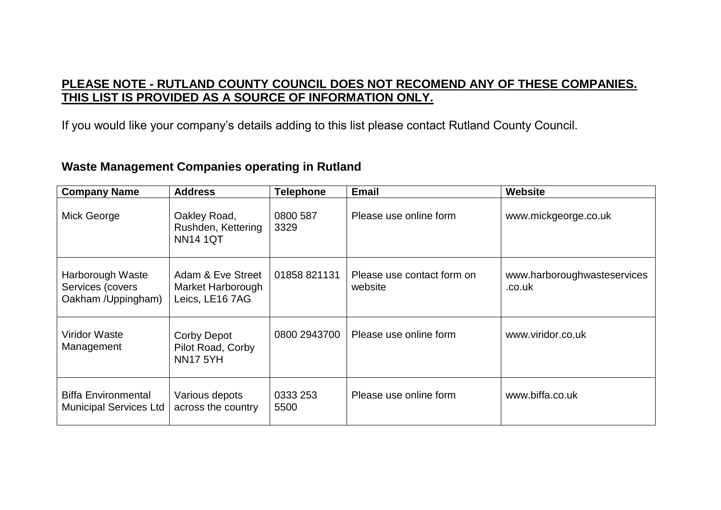## **PLEASE NOTE - RUTLAND COUNTY COUNCIL DOES NOT RECOMEND ANY OF THESE COMPANIES. THIS LIST IS PROVIDED AS A SOURCE OF INFORMATION ONLY.**

If you would like your company's details adding to this list please contact Rutland County Council.

## **Waste Management Companies operating in Rutland**

| <b>Company Name</b>                                         | <b>Address</b>                                             | <b>Telephone</b> | <b>Email</b>                          | <b>Website</b>                        |
|-------------------------------------------------------------|------------------------------------------------------------|------------------|---------------------------------------|---------------------------------------|
| Mick George                                                 | Oakley Road,<br>Rushden, Kettering<br><b>NN14 1QT</b>      | 0800 587<br>3329 | Please use online form                | www.mickgeorge.co.uk                  |
| Harborough Waste<br>Services (covers<br>Oakham /Uppingham)  | Adam & Eve Street<br>Market Harborough<br>Leics, LE16 7AG  | 01858 821131     | Please use contact form on<br>website | www.harboroughwasteservices<br>.co.uk |
| <b>Viridor Waste</b><br>Management                          | <b>Corby Depot</b><br>Pilot Road, Corby<br><b>NN17 5YH</b> | 0800 2943700     | Please use online form                | www.viridor.co.uk                     |
| <b>Biffa Environmental</b><br><b>Municipal Services Ltd</b> | Various depots<br>across the country                       | 0333 253<br>5500 | Please use online form                | www.biffa.co.uk                       |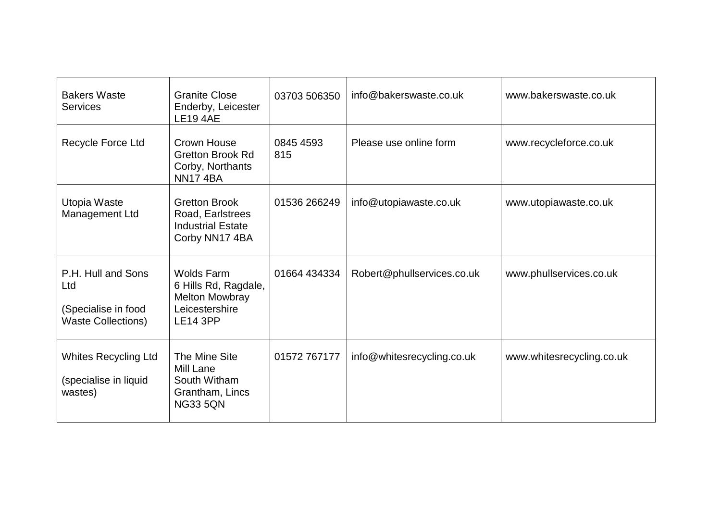| <b>Bakers Waste</b><br><b>Services</b>                                        | <b>Granite Close</b><br>Enderby, Leicester<br><b>LE19 4AE</b>                                           | 03703 506350     | info@bakerswaste.co.uk     | www.bakerswaste.co.uk     |
|-------------------------------------------------------------------------------|---------------------------------------------------------------------------------------------------------|------------------|----------------------------|---------------------------|
| Recycle Force Ltd                                                             | Crown House<br><b>Gretton Brook Rd</b><br>Corby, Northants<br><b>NN174BA</b>                            | 0845 4593<br>815 | Please use online form     | www.recycleforce.co.uk    |
| Utopia Waste<br>Management Ltd                                                | <b>Gretton Brook</b><br>Road, Earlstrees<br><b>Industrial Estate</b><br>Corby NN17 4BA                  | 01536 266249     | info@utopiawaste.co.uk     | www.utopiawaste.co.uk     |
| P.H. Hull and Sons<br>Ltd<br>(Specialise in food<br><b>Waste Collections)</b> | <b>Wolds Farm</b><br>6 Hills Rd, Ragdale,<br><b>Melton Mowbray</b><br>Leicestershire<br><b>LE14 3PP</b> | 01664 434334     | Robert@phullservices.co.uk | www.phullservices.co.uk   |
| <b>Whites Recycling Ltd</b><br>(specialise in liquid<br>wastes)               | The Mine Site<br>Mill Lane<br>South Witham<br>Grantham, Lincs<br><b>NG33 5QN</b>                        | 01572 767177     | info@whitesrecycling.co.uk | www.whitesrecycling.co.uk |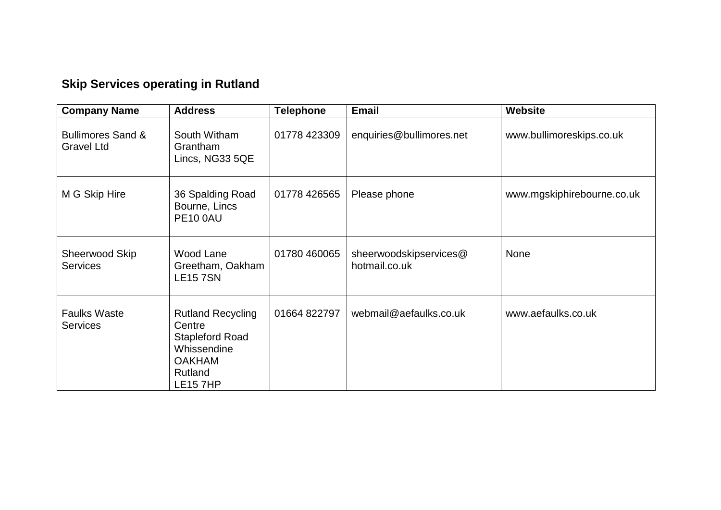## **Skip Services operating in Rutland**

| <b>Company Name</b>                               | <b>Address</b>                                                                                                             | <b>Telephone</b> | <b>Email</b>                            | <b>Website</b>             |
|---------------------------------------------------|----------------------------------------------------------------------------------------------------------------------------|------------------|-----------------------------------------|----------------------------|
| <b>Bullimores Sand &amp;</b><br><b>Gravel Ltd</b> | South Witham<br>Grantham<br>Lincs, NG33 5QE                                                                                | 01778 423309     | enquiries@bullimores.net                | www.bullimoreskips.co.uk   |
| M G Skip Hire                                     | 36 Spalding Road<br>Bourne, Lincs<br><b>PE10 0AU</b>                                                                       | 01778 426565     | Please phone                            | www.mgskiphirebourne.co.uk |
| Sheerwood Skip<br><b>Services</b>                 | Wood Lane<br>Greetham, Oakham<br><b>LE157SN</b>                                                                            | 01780 460065     | sheerwoodskipservices@<br>hotmail.co.uk | <b>None</b>                |
| <b>Faulks Waste</b><br><b>Services</b>            | <b>Rutland Recycling</b><br>Centre<br><b>Stapleford Road</b><br>Whissendine<br><b>OAKHAM</b><br>Rutland<br><b>LE15 7HP</b> | 01664 822797     | webmail@aefaulks.co.uk                  | www.aefaulks.co.uk         |